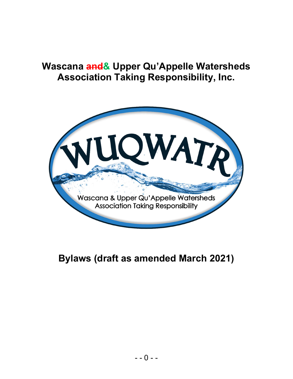# Wascana and& Upper Qu'Appelle Watersheds Association Taking Responsibility, Inc.



# Bylaws (draft as amended March 2021)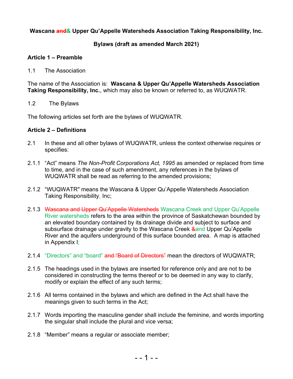# Wascana and & Upper Qu'Appelle Watersheds Association Taking Responsibility, Inc.

### Bylaws (draft as amended March 2021)

#### Article 1 – Preamble

#### 1.1 The Association

The name of the Association is: Wascana & Upper Qu'Appelle Watersheds Association Taking Responsibility, Inc., which may also be known or referred to, as WUQWATR.

#### 1.2 The Bylaws

The following articles set forth are the bylaws of WUQWATR.

#### Article 2 – Definitions

- 2.1 In these and all other bylaws of WUQWATR, unless the context otherwise requires or specifies:
- 2.1.1 "Act" means The Non-Profit Corporations Act, 1995 as amended or replaced from time to time, and in the case of such amendment, any references in the bylaws of WUQWATR shall be read as referring to the amended provisions;
- 2.1.2 "WUQWATR" means the Wascana & Upper Qu'Appelle Watersheds Association Taking Responsibility, Inc;
- 2.1.3 Wascana and Upper Qu'Appelle Watersheds Wascana Creek and Upper Qu'Appelle River watersheds refers to the area within the province of Saskatchewan bounded by an elevated boundary contained by its drainage divide and subject to surface and subsurface drainage under gravity to the Wascana Creek & and Upper Qu'Appelle River and the aquifers underground of this surface bounded area. A map is attached in Appendix I;
- 2.1.4 "Directors" and "board" and "Board of Directors" mean the directors of WUQWATR;
- 2.1.5 The headings used in the bylaws are inserted for reference only and are not to be considered in constructing the terms thereof or to be deemed in any way to clarify, modify or explain the effect of any such terms;
- 2.1.6 All terms contained in the bylaws and which are defined in the Act shall have the meanings given to such terms in the Act;
- 2.1.7 Words importing the masculine gender shall include the feminine, and words importing the singular shall include the plural and vice versa;
- 2.1.8 "Member" means a regular or associate member;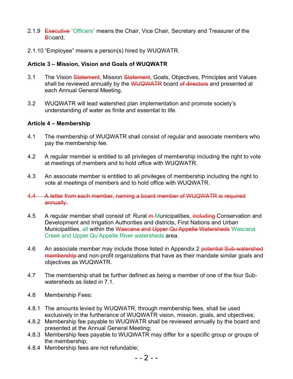- 2.1.9 Executive "Officers" means the Chair, Vice Chair, Secretary and Treasurer of the B<sub>board</sub>:
- 2.1.10 "Employee" means a person(s) hired by WUQWATR.

# Article 3 – Mission, Vision and Goals of WUQWATR

- 3.1 The Vision Statement, Mission Statement, Goals, Objectives, Principles and Values shall be reviewed annually by the WUQWATR board of directors and presented at each Annual General Meeting.
- 3.2 WUQWATR will lead watershed plan implementation and promote society's understanding of water as finite and essential to life.

#### Article 4 – Membership

- 4.1 The membership of WUQWATR shall consist of regular and associate members who pay the membership fee.
- 4.2 A regular member is entitled to all privileges of membership including the right to vote at meetings of members and to hold office with WUQWATR.
- 4.3 An associate member is entitled to all privileges of membership including the right to vote at meetings of members and to hold office with WUQWATR.
- 4.4 A letter from each member, naming a board member of WUQWATR is required annually.
- 4.5 A regular member shall consist of: Rural m Municipalities, including Conservation and Development and Irrigation Authorities and districts, First Nations and Urban Municipalities, all within the Wascana and Upper Qu'Appelle Watersheds Wascana Creek and Upper Qu'Appelle River watersheds area.
- 4.6 An associate member may include those listed in Appendix 2 potential Sub-watershed membership and non-profit organizations that have as their mandate similar goals and objectives as WUQWATR.
- 4.7 The membership shall be further defined as being a member of one of the four Subwatersheds as listed in 7.1.
- 4.8 Membership Fees:
- 4.8.1 The amounts levied by WUQWATR, through membership fees, shall be used exclusively in the furtherance of WUQWATR vision, mission, goals, and objectives;
- 4.8.2 Membership fee payable to WUQWATR shall be reviewed annually by the board and presented at the Annual General Meeting;
- 4.8.3 Membership fees payable to WUQWATR may differ for a specific group or groups of the membership;
- 4.8.4 Membership fees are not refundable;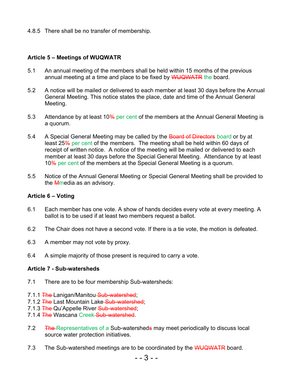4.8.5 There shall be no transfer of membership.

# Article 5 – Meetings of WUQWATR

- 5.1 An annual meeting of the members shall be held within 15 months of the previous annual meeting at a time and place to be fixed by WUQWATR the board.
- 5.2 A notice will be mailed or delivered to each member at least 30 days before the Annual General Meeting. This notice states the place, date and time of the Annual General Meeting.
- 5.3 Attendance by at least 10% per cent of the members at the Annual General Meeting is a quorum.
- 5.4 A Special General Meeting may be called by the Board of Directors board or by at least 25% per cent of the members. The meeting shall be held within 60 days of receipt of written notice. A notice of the meeting will be mailed or delivered to each member at least 30 days before the Special General Meeting. Attendance by at least 10% per cent of the members at the Special General Meeting is a quorum.
- 5.5 Notice of the Annual General Meeting or Special General Meeting shall be provided to the **M**media as an advisory.

#### Article 6 – Voting

- 6.1 Each member has one vote. A show of hands decides every vote at every meeting. A ballot is to be used if at least two members request a ballot.
- 6.2 The Chair does not have a second vote. If there is a tie vote, the motion is defeated.
- 6.3 A member may not vote by proxy.
- 6.4 A simple majority of those present is required to carry a vote.

#### Article 7 - Sub-watersheds

- 7.1 There are to be four membership Sub-watersheds:
- 7.1.1 The Lanigan/Manitou Sub-watershed:
- 7.1.2 The Last Mountain Lake Sub-watershed;
- 7.1.3 The Qu'Appelle River Sub-watershed;
- 7.1.4 The Wascana Creek-Sub-watershed.
- 7.2 The Representatives of a Sub-watersheds may meet periodically to discuss local source water protection initiatives.
- 7.3 The Sub-watershed meetings are to be coordinated by the WUQWATR board.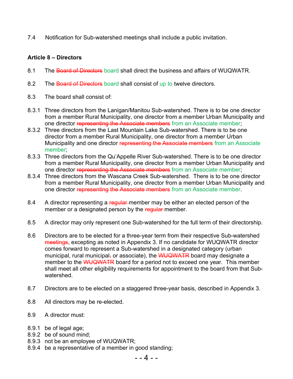7.4 Notification for Sub-watershed meetings shall include a public invitation.

# Article 8 – Directors

- 8.1 The Board of Directors board shall direct the business and affairs of WUQWATR.
- 8.2 The Board of Directors board shall consist of up to twelve directors.
- 8.3 The board shall consist of:
- 8.3.1 Three directors from the Lanigan/Manitou Sub-watershed. There is to be one director from a member Rural Municipality, one director from a member Urban Municipality and one director representing the Associate members from an Associate member;
- 8.3.2 Three directors from the Last Mountain Lake Sub-watershed. There is to be one director from a member Rural Municipality, one director from a member Urban Municipality and one director representing the Associate members from an Associate member;
- 8.3.3 Three directors from the Qu'Appelle River Sub-watershed. There is to be one director from a member Rural Municipality, one director from a member Urban Municipality and one director representing the Associate members from an Associate member;
- 8.3.4 Three directors from the Wascana Creek Sub-watershed. There is to be one director from a member Rural Municipality, one director from a member Urban Municipality and one director representing the Associate members from an Associate member.
- 8.4 A director representing a regular member may be either an elected person of the member or a designated person by the regular member.
- 8.5 A director may only represent one Sub-watershed for the full term of their directorship.
- 8.6 Directors are to be elected for a three-year term from their respective Sub-watershed meetings, excepting as noted in Appendix 3. If no candidate for WUQWATR director comes forward to represent a Sub-watershed in a designated category (urban municipal, rural municipal, or associate), the WUQWATR board may designate a member to the WUQWATR board for a period not to exceed one year. This member shall meet all other eligibility requirements for appointment to the board from that Subwatershed.
- 8.7 Directors are to be elected on a staggered three-year basis, described in Appendix 3.
- 8.8 All directors may be re-elected.
- 8.9 A director must:
- 8.9.1 be of legal age;
- 8.9.2 be of sound mind;
- 8.9.3 not be an employee of WUQWATR;
- 8.9.4 be a representative of a member in good standing;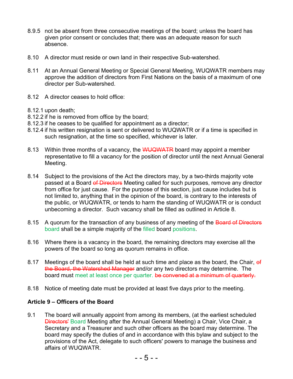- 8.9.5 not be absent from three consecutive meetings of the board; unless the board has given prior consent or concludes that; there was an adequate reason for such absence.
- 8.10 A director must reside or own land in their respective Sub-watershed.
- 8.11 At an Annual General Meeting or Special General Meeting, WUQWATR members may approve the addition of directors from First Nations on the basis of a maximum of one director per Sub-watershed.
- 8.12 A director ceases to hold office:
- 8.12.1 upon death;
- 8.12.2 if he is removed from office by the board;
- 8.12.3 if he ceases to be qualified for appointment as a director;
- 8.12.4 if his written resignation is sent or delivered to WUQWATR or if a time is specified in such resignation, at the time so specified, whichever is later.
- 8.13 Within three months of a vacancy, the WUQWATR board may appoint a member representative to fill a vacancy for the position of director until the next Annual General Meeting.
- 8.14 Subject to the provisions of the Act the directors may, by a two-thirds majority vote passed at a Board of Directors Meeting called for such purposes, remove any director from office for just cause. For the purpose of this section, just cause includes but is not limited to, anything that in the opinion of the board, is contrary to the interests of the public, or WUQWATR, or tends to harm the standing of WUQWATR or is conduct unbecoming a director. Such vacancy shall be filled as outlined in Article 8.
- 8.15 A quorum for the transaction of any business of any meeting of the Board of Directors board shall be a simple majority of the filled board positions.
- 8.16 Where there is a vacancy in the board, the remaining directors may exercise all the powers of the board so long as quorum remains in office.
- 8.17 Meetings of the board shall be held at such time and place as the board, the Chair, of the Board, the Watershed Manager and/or any two directors may determine. The board must meet at least once per quarter. be convened at a minimum of quarterly.
- 8.18 Notice of meeting date must be provided at least five days prior to the meeting.

#### Article 9 – Officers of the Board

9.1 The board will annually appoint from among its members, (at the earliest scheduled Directors' Board Meeting after the Annual General Meeting) a Chair, Vice Chair, a Secretary and a Treasurer and such other officers as the board may determine. The board may specify the duties of and in accordance with this bylaw and subject to the provisions of the Act, delegate to such officers' powers to manage the business and affairs of WUQWATR.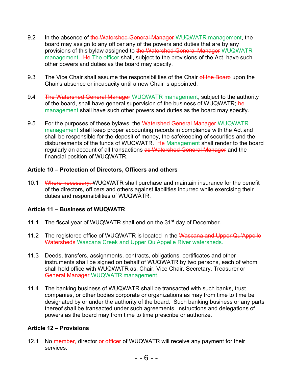- 9.2 In the absence of the Watershed General Manager WUQWATR management, the board may assign to any officer any of the powers and duties that are by any provisions of this bylaw assigned to the Watershed General Manager WUQWATR management. He The officer shall, subject to the provisions of the Act, have such other powers and duties as the board may specify.
- 9.3 The Vice Chair shall assume the responsibilities of the Chair of the Board upon the Chair's absence or incapacity until a new Chair is appointed.
- 9.4 The Watershed General Manager WUQWATR management, subject to the authority of the board, shall have general supervision of the business of WUQWATR; he management shall have such other powers and duties as the board may specify.
- 9.5 For the purposes of these bylaws, the Watershed General Manager WUQWATR management shall keep proper accounting records in compliance with the Act and shall be responsible for the deposit of money, the safekeeping of securities and the disbursements of the funds of WUQWATR. He Management shall render to the board regularly an account of all transactions as Watershed General Manager and the financial position of WUQWATR.

# Article 10 – Protection of Directors, Officers and others

10.1 Where necessary, WUQWATR shall purchase and maintain insurance for the benefit of the directors, officers and others against liabilities incurred while exercising their duties and responsibilities of WUQWATR.

#### Article 11 – Business of WUQWATR

- 11.1 The fiscal year of WUQWATR shall end on the 31<sup>st</sup> day of December.
- 11.2 The registered office of WUQWATR is located in the Wascana and Upper Qu'Appelle Watersheds Wascana Creek and Upper Qu'Appelle River watersheds.
- 11.3 Deeds, transfers, assignments, contracts, obligations, certificates and other instruments shall be signed on behalf of WUQWATR by two persons, each of whom shall hold office with WUQWATR as, Chair, Vice Chair, Secretary, Treasurer or General Manager WUQWATR management.
- 11.4 The banking business of WUQWATR shall be transacted with such banks, trust companies, or other bodies corporate or organizations as may from time to time be designated by or under the authority of the board. Such banking business or any parts thereof shall be transacted under such agreements, instructions and delegations of powers as the board may from time to time prescribe or authorize.

#### Article 12 – Provisions

12.1 No member, director or officer of WUQWATR will receive any payment for their services.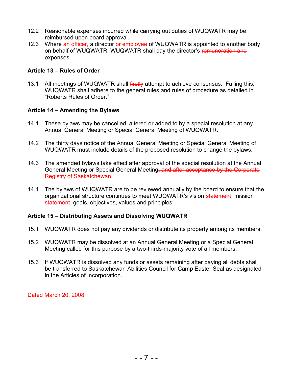- 12.2 Reasonable expenses incurred while carrying out duties of WUQWATR may be reimbursed upon board approval.
- 12.3 Where an officer, a director or employee of WUQWATR is appointed to another body on behalf of WUQWATR, WUQWATR shall pay the director's remuneration and expenses.

#### Article 13 – Rules of Order

13.1 All meetings of WUQWATR shall firstly attempt to achieve consensus. Failing this, WUQWATR shall adhere to the general rules and rules of procedure as detailed in "Roberts Rules of Order."

#### Article 14 – Amending the Bylaws

- 14.1 These bylaws may be cancelled, altered or added to by a special resolution at any Annual General Meeting or Special General Meeting of WUQWATR.
- 14.2 The thirty days notice of the Annual General Meeting or Special General Meeting of WUQWATR must include details of the proposed resolution to change the bylaws.
- 14.3 The amended bylaws take effect after approval of the special resolution at the Annual General Meeting or Special General Meeting, and after acceptance by the Corporate Registry of Saskatchewan.
- 14.4 The bylaws of WUQWATR are to be reviewed annually by the board to ensure that the organizational structure continues to meet WUQWATR's vision statement, mission statement, goals, objectives, values and principles.

#### Article 15 – Distributing Assets and Dissolving WUQWATR

- 15.1 WUQWATR does not pay any dividends or distribute its property among its members.
- 15.2 WUQWATR may be dissolved at an Annual General Meeting or a Special General Meeting called for this purpose by a two-thirds-majority vote of all members.
- 15.3 If WUQWATR is dissolved any funds or assets remaining after paying all debts shall be transferred to Saskatchewan Abilities Council for Camp Easter Seal as designated in the Articles of Incorporation.

Dated March 20, 2008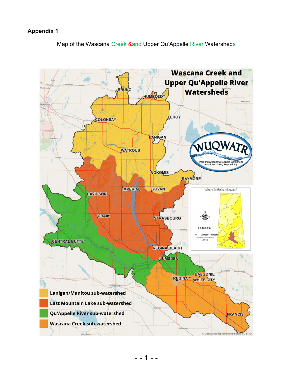# Appendix 1

Map of the Wascana Creek &and Upper Qu'Appelle River Watersheds

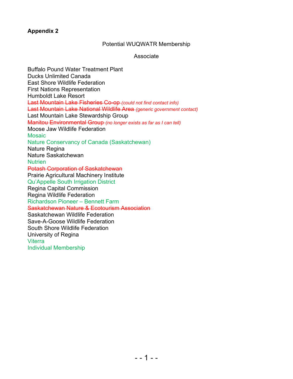# Appendix 2

#### Potential WUQWATR Membership

#### Associate

Buffalo Pound Water Treatment Plant Ducks Unlimited Canada East Shore Wildlife Federation First Nations Representation Humboldt Lake Resort Last Mountain Lake Fisheries Co-op-(could not find contact info) Last Mountain Lake National Wildlife Area (generic government contact) Last Mountain Lake Stewardship Group Manitou Environmental Group (no longer exists as far as I can tell) Moose Jaw Wildlife Federation **Mosaic** Nature Conservancy of Canada (Saskatchewan) Nature Regina Nature Saskatchewan **Nutrien** Potash Corporation of Saskatchewan Prairie Agricultural Machinery Institute Qu'Appelle South Irrigation District Regina Capital Commission Regina Wildlife Federation Richardson Pioneer – Bennett Farm Saskatchewan Nature & Ecotourism Association Saskatchewan Wildlife Federation Save-A-Goose Wildlife Federation South Shore Wildlife Federation University of Regina **Viterra** Individual Membership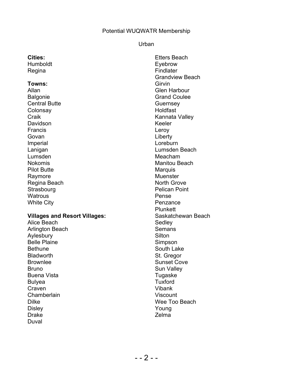#### Potential WUQWATR Membership

#### Urban

| <b>Cities:</b> |
|----------------|
| Humboldt       |
| Regina         |

#### Towns:

Allan Balgonie Central Butte **Colonsay Craik** Davidson **Francis** Govan Imperial Lanigan Lumsden Nokomis Pilot Butte Raymore Regina Beach **Strasbourg Watrous** White City

#### Villages and Resort Villages:

Alice Beach Arlington Beach Aylesbury Belle Plaine **Bethune Bladworth** Brownlee Bruno Buena Vista Bulyea Craven **Chamberlain** Dilke **Disley** Drake Duval

Etters Beach Eyebrow Findlater Grandview Beach **Girvin** Glen Harbour Grand Coulee **Guernsey** Holdfast Kannata Valley Keeler Leroy Liberty Loreburn Lumsden Beach Meacham Manitou Beach **Marquis** Muenster North Grove Pelican Point Pense **Penzance** Plunkett Saskatchewan Beach Sedley **Semans Silton** Simpson South Lake St. Gregor Sunset Cove Sun Valley Tugaske Tuxford Vibank Viscount Wee Too Beach Young Zelma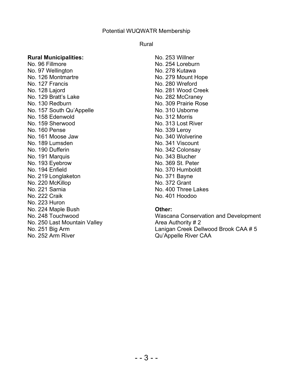#### Potential WUQWATR Membership

#### Rural

#### Rural Municipalities:

No. 96 Fillmore No. 97 Wellington No. 126 Montmartre No. 127 Francis No. 128 Lajord No. 129 Bratt's Lake No. 130 Redburn No. 157 South Qu'Appelle No. 158 Edenwold No. 159 Sherwood No. 160 Pense No. 161 Moose Jaw No. 189 Lumsden No. 190 Dufferin No. 191 Marquis No. 193 Eyebrow No. 194 Enfield No. 219 Longlaketon No. 220 McKillop No. 221 Sarnia No. 222 Craik No. 223 Huron No. 224 Maple Bush No. 248 Touchwood No. 250 Last Mountain Valley No. 251 Big Arm No. 252 Arm River

No. 253 Willner No. 254 Loreburn No. 278 Kutawa No. 279 Mount Hope No. 280 Wreford No. 281 Wood Creek No. 282 McCraney No. 309 Prairie Rose No. 310 Usborne No. 312 Morris No. 313 Lost River No. 339 Leroy No. 340 Wolverine No. 341 Viscount No. 342 Colonsay No. 343 Blucher No. 369 St. Peter No. 370 Humboldt No. 371 Bayne No. 372 Grant No. 400 Three Lakes No. 401 Hoodoo

#### Other:

Wascana Conservation and Development Area Authority # 2 Lanigan Creek Dellwood Brook CAA # 5 Qu'Appelle River CAA